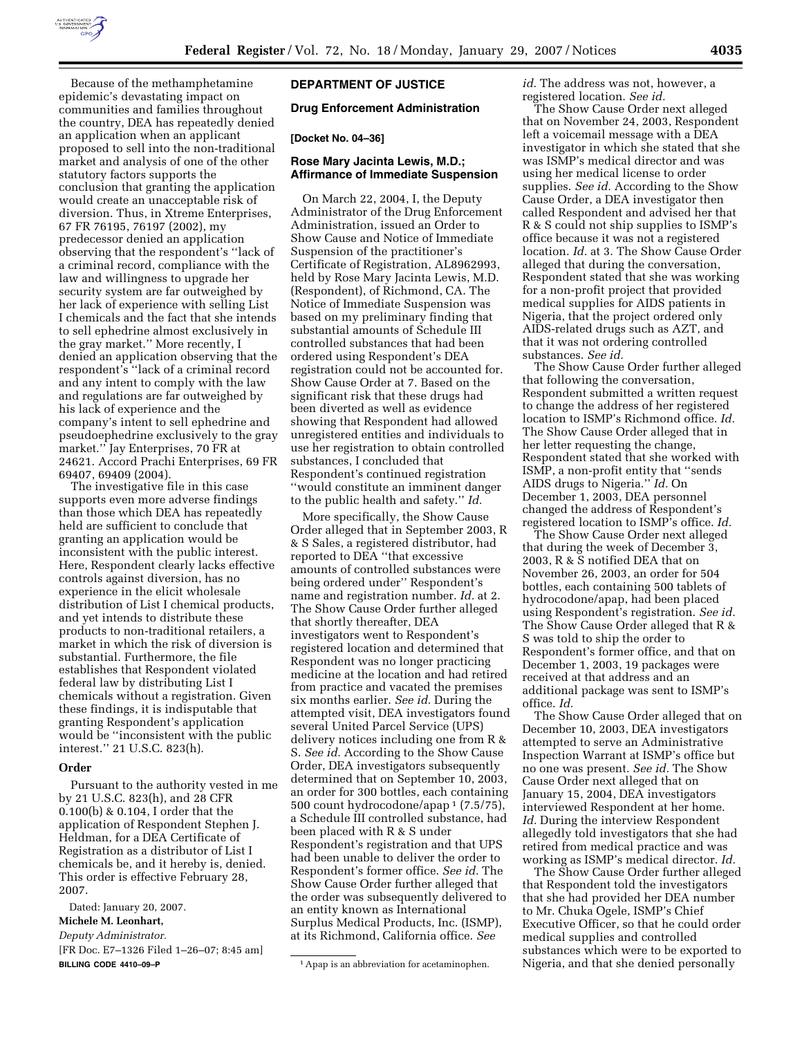

Because of the methamphetamine epidemic's devastating impact on communities and families throughout the country, DEA has repeatedly denied an application when an applicant proposed to sell into the non-traditional market and analysis of one of the other statutory factors supports the conclusion that granting the application would create an unacceptable risk of diversion. Thus, in Xtreme Enterprises, 67 FR 76195, 76197 (2002), my predecessor denied an application observing that the respondent's ''lack of a criminal record, compliance with the law and willingness to upgrade her security system are far outweighed by her lack of experience with selling List I chemicals and the fact that she intends to sell ephedrine almost exclusively in the gray market.'' More recently, I denied an application observing that the respondent's ''lack of a criminal record and any intent to comply with the law and regulations are far outweighed by his lack of experience and the company's intent to sell ephedrine and pseudoephedrine exclusively to the gray market.'' Jay Enterprises, 70 FR at 24621. Accord Prachi Enterprises, 69 FR 69407, 69409 (2004).

The investigative file in this case supports even more adverse findings than those which DEA has repeatedly held are sufficient to conclude that granting an application would be inconsistent with the public interest. Here, Respondent clearly lacks effective controls against diversion, has no experience in the elicit wholesale distribution of List I chemical products, and yet intends to distribute these products to non-traditional retailers, a market in which the risk of diversion is substantial. Furthermore, the file establishes that Respondent violated federal law by distributing List I chemicals without a registration. Given these findings, it is indisputable that granting Respondent's application would be ''inconsistent with the public interest.'' 21 U.S.C. 823(h).

### **Order**

Pursuant to the authority vested in me by 21 U.S.C. 823(h), and 28 CFR 0.100(b) & 0.104, I order that the application of Respondent Stephen J. Heldman, for a DEA Certificate of Registration as a distributor of List I chemicals be, and it hereby is, denied. This order is effective February 28, 2007.

Dated: January 20, 2007.

#### **Michele M. Leonhart,**

*Deputy Administrator.* 

[FR Doc. E7–1326 Filed 1–26–07; 8:45 am] **BILLING CODE 4410–09–P** 

# **DEPARTMENT OF JUSTICE**

#### **Drug Enforcement Administration**

#### **[Docket No. 04–36]**

### **Rose Mary Jacinta Lewis, M.D.; Affirmance of Immediate Suspension**

On March 22, 2004, I, the Deputy Administrator of the Drug Enforcement Administration, issued an Order to Show Cause and Notice of Immediate Suspension of the practitioner's Certificate of Registration, AL8962993, held by Rose Mary Jacinta Lewis, M.D. (Respondent), of Richmond, CA. The Notice of Immediate Suspension was based on my preliminary finding that substantial amounts of Schedule III controlled substances that had been ordered using Respondent's DEA registration could not be accounted for. Show Cause Order at 7. Based on the significant risk that these drugs had been diverted as well as evidence showing that Respondent had allowed unregistered entities and individuals to use her registration to obtain controlled substances, I concluded that Respondent's continued registration ''would constitute an imminent danger to the public health and safety.'' *Id.* 

More specifically, the Show Cause Order alleged that in September 2003, R & S Sales, a registered distributor, had reported to DEA ''that excessive amounts of controlled substances were being ordered under'' Respondent's name and registration number. *Id.* at 2. The Show Cause Order further alleged that shortly thereafter, DEA investigators went to Respondent's registered location and determined that Respondent was no longer practicing medicine at the location and had retired from practice and vacated the premises six months earlier. *See id.* During the attempted visit, DEA investigators found several United Parcel Service (UPS) delivery notices including one from R & S. *See id.* According to the Show Cause Order, DEA investigators subsequently determined that on September 10, 2003, an order for 300 bottles, each containing 500 count hydrocodone/apap 1 (7.5/75), a Schedule III controlled substance, had been placed with R & S under Respondent's registration and that UPS had been unable to deliver the order to Respondent's former office. *See id.* The Show Cause Order further alleged that the order was subsequently delivered to an entity known as International Surplus Medical Products, Inc. (ISMP), at its Richmond, California office. *See* 

*id.* The address was not, however, a registered location. *See id.* 

The Show Cause Order next alleged that on November 24, 2003, Respondent left a voicemail message with a DEA investigator in which she stated that she was ISMP's medical director and was using her medical license to order supplies. *See id.* According to the Show Cause Order, a DEA investigator then called Respondent and advised her that R & S could not ship supplies to ISMP's office because it was not a registered location. *Id.* at 3. The Show Cause Order alleged that during the conversation, Respondent stated that she was working for a non-profit project that provided medical supplies for AIDS patients in Nigeria, that the project ordered only AIDS-related drugs such as AZT, and that it was not ordering controlled substances. *See id.* 

The Show Cause Order further alleged that following the conversation, Respondent submitted a written request to change the address of her registered location to ISMP's Richmond office. *Id.*  The Show Cause Order alleged that in her letter requesting the change, Respondent stated that she worked with ISMP, a non-profit entity that ''sends AIDS drugs to Nigeria.'' *Id.* On December 1, 2003, DEA personnel changed the address of Respondent's registered location to ISMP's office. *Id.* 

The Show Cause Order next alleged that during the week of December 3, 2003, R & S notified DEA that on November 26, 2003, an order for 504 bottles, each containing 500 tablets of hydrocodone/apap, had been placed using Respondent's registration. *See id.*  The Show Cause Order alleged that R & S was told to ship the order to Respondent's former office, and that on December 1, 2003, 19 packages were received at that address and an additional package was sent to ISMP's office. *Id.* 

The Show Cause Order alleged that on December 10, 2003, DEA investigators attempted to serve an Administrative Inspection Warrant at ISMP's office but no one was present. *See id.* The Show Cause Order next alleged that on January 15, 2004, DEA investigators interviewed Respondent at her home. *Id.* During the interview Respondent allegedly told investigators that she had retired from medical practice and was working as ISMP's medical director. *Id.* 

The Show Cause Order further alleged that Respondent told the investigators that she had provided her DEA number to Mr. Chuka Ogele, ISMP's Chief Executive Officer, so that he could order medical supplies and controlled substances which were to be exported to Nigeria, and that she denied personally

<sup>&</sup>lt;sup>1</sup> Apap is an abbreviation for acetaminophen.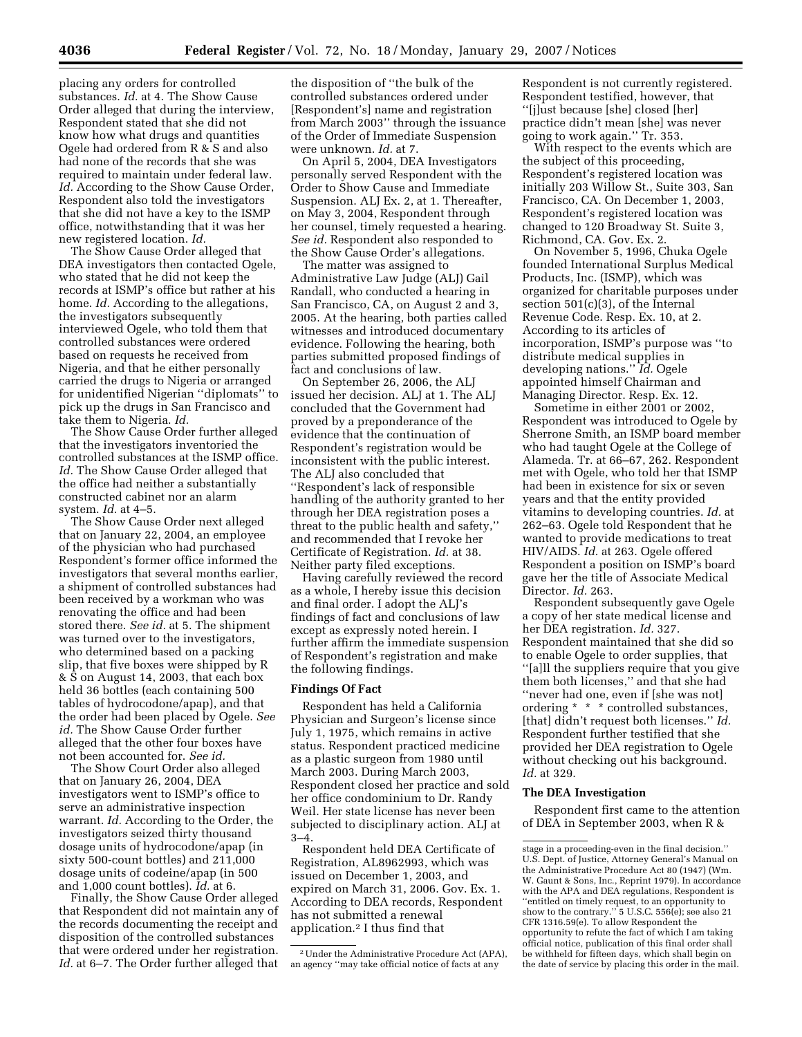placing any orders for controlled substances. *Id.* at 4. The Show Cause Order alleged that during the interview, Respondent stated that she did not know how what drugs and quantities Ogele had ordered from R & S and also had none of the records that she was required to maintain under federal law. *Id.* According to the Show Cause Order, Respondent also told the investigators that she did not have a key to the ISMP office, notwithstanding that it was her new registered location. *Id.* 

The Show Cause Order alleged that DEA investigators then contacted Ogele, who stated that he did not keep the records at ISMP's office but rather at his home. *Id.* According to the allegations, the investigators subsequently interviewed Ogele, who told them that controlled substances were ordered based on requests he received from Nigeria, and that he either personally carried the drugs to Nigeria or arranged for unidentified Nigerian ''diplomats'' to pick up the drugs in San Francisco and take them to Nigeria. *Id.* 

The Show Cause Order further alleged that the investigators inventoried the controlled substances at the ISMP office. *Id.* The Show Cause Order alleged that the office had neither a substantially constructed cabinet nor an alarm system. *Id.* at 4–5.

The Show Cause Order next alleged that on January 22, 2004, an employee of the physician who had purchased Respondent's former office informed the investigators that several months earlier, a shipment of controlled substances had been received by a workman who was renovating the office and had been stored there. *See id.* at 5. The shipment was turned over to the investigators, who determined based on a packing slip, that five boxes were shipped by R & S on August 14, 2003, that each box held 36 bottles (each containing 500 tables of hydrocodone/apap), and that the order had been placed by Ogele. *See id.* The Show Cause Order further alleged that the other four boxes have not been accounted for. *See id.* 

The Show Court Order also alleged that on January 26, 2004, DEA investigators went to ISMP's office to serve an administrative inspection warrant. *Id.* According to the Order, the investigators seized thirty thousand dosage units of hydrocodone/apap (in sixty 500-count bottles) and 211,000 dosage units of codeine/apap (in 500 and 1,000 count bottles). *Id.* at 6.

Finally, the Show Cause Order alleged that Respondent did not maintain any of the records documenting the receipt and disposition of the controlled substances that were ordered under her registration. *Id.* at 6–7. The Order further alleged that the disposition of ''the bulk of the controlled substances ordered under [Respondent's] name and registration from March 2003'' through the issuance of the Order of Immediate Suspension were unknown. *Id.* at 7.

On April 5, 2004, DEA Investigators personally served Respondent with the Order to Show Cause and Immediate Suspension. ALJ Ex. 2, at 1. Thereafter, on May 3, 2004, Respondent through her counsel, timely requested a hearing. *See id.* Respondent also responded to the Show Cause Order's allegations.

The matter was assigned to Administrative Law Judge (ALJ) Gail Randall, who conducted a hearing in San Francisco, CA, on August 2 and 3, 2005. At the hearing, both parties called witnesses and introduced documentary evidence. Following the hearing, both parties submitted proposed findings of fact and conclusions of law.

On September 26, 2006, the ALJ issued her decision. ALJ at 1. The ALJ concluded that the Government had proved by a preponderance of the evidence that the continuation of Respondent's registration would be inconsistent with the public interest. The ALJ also concluded that ''Respondent's lack of responsible handling of the authority granted to her through her DEA registration poses a threat to the public health and safety,'' and recommended that I revoke her Certificate of Registration. *Id.* at 38. Neither party filed exceptions.

Having carefully reviewed the record as a whole, I hereby issue this decision and final order. I adopt the ALJ's findings of fact and conclusions of law except as expressly noted herein. I further affirm the immediate suspension of Respondent's registration and make the following findings.

#### **Findings Of Fact**

Respondent has held a California Physician and Surgeon's license since July 1, 1975, which remains in active status. Respondent practiced medicine as a plastic surgeon from 1980 until March 2003. During March 2003, Respondent closed her practice and sold her office condominium to Dr. Randy Weil. Her state license has never been subjected to disciplinary action. ALJ at 3–4.

Respondent held DEA Certificate of Registration, AL8962993, which was issued on December 1, 2003, and expired on March 31, 2006. Gov. Ex. 1. According to DEA records, Respondent has not submitted a renewal application.2 I thus find that

Respondent is not currently registered. Respondent testified, however, that ''[j]ust because [she] closed [her] practice didn't mean [she] was never going to work again.'' Tr. 353.

With respect to the events which are the subject of this proceeding, Respondent's registered location was initially 203 Willow St., Suite 303, San Francisco, CA. On December 1, 2003, Respondent's registered location was changed to 120 Broadway St. Suite 3, Richmond, CA. Gov. Ex. 2.

On November 5, 1996, Chuka Ogele founded International Surplus Medical Products, Inc. (ISMP), which was organized for charitable purposes under section 501(c)(3), of the Internal Revenue Code. Resp. Ex. 10, at 2. According to its articles of incorporation, ISMP's purpose was ''to distribute medical supplies in developing nations.'' *Id.* Ogele appointed himself Chairman and Managing Director. Resp. Ex. 12.

Sometime in either 2001 or 2002, Respondent was introduced to Ogele by Sherrone Smith, an ISMP board member who had taught Ogele at the College of Alameda. Tr. at 66–67, 262. Respondent met with Ogele, who told her that ISMP had been in existence for six or seven years and that the entity provided vitamins to developing countries. *Id.* at 262–63. Ogele told Respondent that he wanted to provide medications to treat HIV/AIDS. *Id.* at 263. Ogele offered Respondent a position on ISMP's board gave her the title of Associate Medical Director. *Id.* 263.

Respondent subsequently gave Ogele a copy of her state medical license and her DEA registration. *Id.* 327. Respondent maintained that she did so to enable Ogele to order supplies, that ''[a]ll the suppliers require that you give them both licenses,'' and that she had ''never had one, even if [she was not] ordering \* \* \* controlled substances, [that] didn't request both licenses.'' *Id.*  Respondent further testified that she provided her DEA registration to Ogele without checking out his background. *Id.* at 329.

## **The DEA Investigation**

Respondent first came to the attention of DEA in September 2003, when R &

<sup>2</sup>Under the Administrative Procedure Act (APA), an agency ''may take official notice of facts at any

stage in a proceeding-even in the final decision.'' U.S. Dept. of Justice, Attorney General's Manual on the Administrative Procedure Act 80 (1947) (Wm. W. Gaunt & Sons, Inc., Reprint 1979). In accordance with the APA and DEA regulations, Respondent is ''entitled on timely request, to an opportunity to show to the contrary.'' 5 U.S.C. 556(e); see also 21 CFR 1316.59(e). To allow Respondent the opportunity to refute the fact of which I am taking official notice, publication of this final order shall be withheld for fifteen days, which shall begin on the date of service by placing this order in the mail.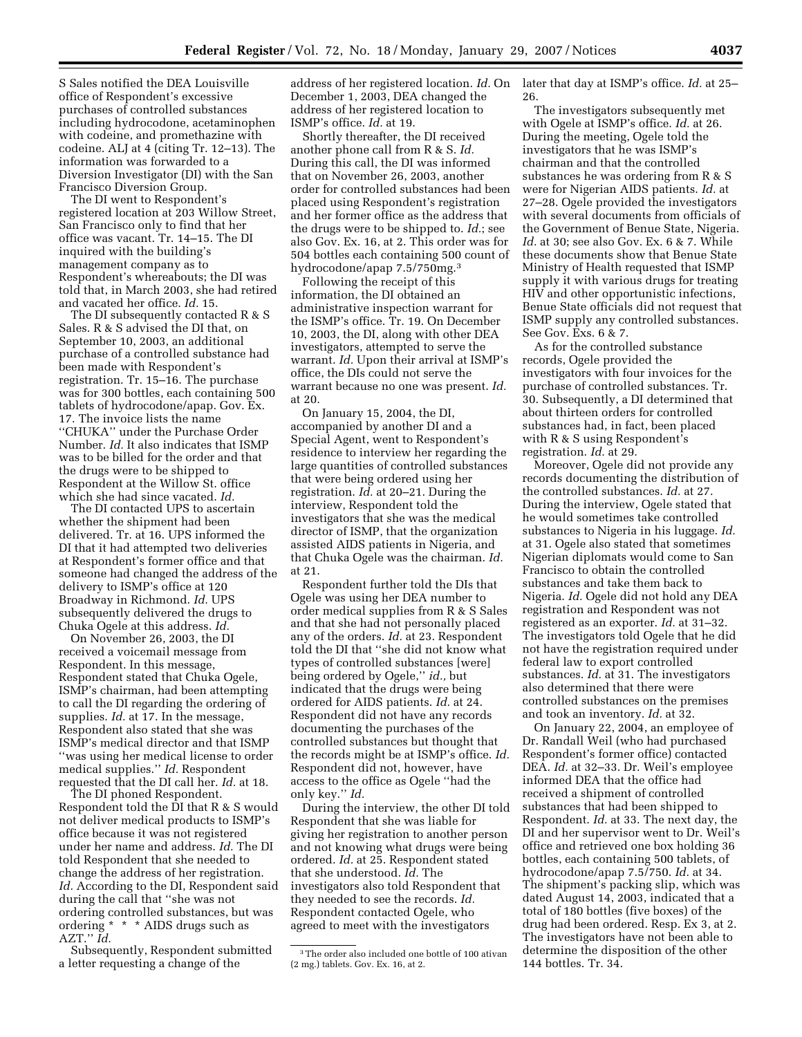S Sales notified the DEA Louisville office of Respondent's excessive purchases of controlled substances including hydrocodone, acetaminophen with codeine, and promethazine with codeine. ALJ at 4 (citing Tr. 12–13). The information was forwarded to a Diversion Investigator (DI) with the San Francisco Diversion Group.

The DI went to Respondent's registered location at 203 Willow Street, San Francisco only to find that her office was vacant. Tr. 14–15. The DI inquired with the building's management company as to Respondent's whereabouts; the DI was told that, in March 2003, she had retired and vacated her office. *Id.* 15.

The DI subsequently contacted R & S Sales. R & S advised the DI that, on September 10, 2003, an additional purchase of a controlled substance had been made with Respondent's registration. Tr. 15–16. The purchase was for 300 bottles, each containing 500 tablets of hydrocodone/apap. Gov. Ex. 17. The invoice lists the name ''CHUKA'' under the Purchase Order Number. *Id.* It also indicates that ISMP was to be billed for the order and that the drugs were to be shipped to Respondent at the Willow St. office which she had since vacated. *Id.* 

The DI contacted UPS to ascertain whether the shipment had been delivered. Tr. at 16. UPS informed the DI that it had attempted two deliveries at Respondent's former office and that someone had changed the address of the delivery to ISMP's office at 120 Broadway in Richmond. *Id.* UPS subsequently delivered the drugs to Chuka Ogele at this address. *Id.* 

On November 26, 2003, the DI received a voicemail message from Respondent. In this message, Respondent stated that Chuka Ogele, ISMP's chairman, had been attempting to call the DI regarding the ordering of supplies. *Id.* at 17. In the message, Respondent also stated that she was ISMP's medical director and that ISMP ''was using her medical license to order medical supplies.'' *Id.* Respondent requested that the DI call her. *Id.* at 18.

The DI phoned Respondent. Respondent told the DI that R & S would not deliver medical products to ISMP's office because it was not registered under her name and address. *Id.* The DI told Respondent that she needed to change the address of her registration. *Id.* According to the DI, Respondent said during the call that ''she was not ordering controlled substances, but was ordering \* \* \* AIDS drugs such as AZT.'' *Id.* 

Subsequently, Respondent submitted a letter requesting a change of the

address of her registered location. *Id.* On December 1, 2003, DEA changed the address of her registered location to ISMP's office. *Id.* at 19.

Shortly thereafter, the DI received another phone call from R & S. *Id.*  During this call, the DI was informed that on November 26, 2003, another order for controlled substances had been placed using Respondent's registration and her former office as the address that the drugs were to be shipped to. *Id.*; see also Gov. Ex. 16, at 2. This order was for 504 bottles each containing 500 count of hydrocodone/apap 7.5/750mg.3

Following the receipt of this information, the DI obtained an administrative inspection warrant for the ISMP's office. Tr. 19. On December 10, 2003, the DI, along with other DEA investigators, attempted to serve the warrant. *Id.* Upon their arrival at ISMP's office, the DIs could not serve the warrant because no one was present. *Id.*  at 20.

On January 15, 2004, the DI, accompanied by another DI and a Special Agent, went to Respondent's residence to interview her regarding the large quantities of controlled substances that were being ordered using her registration. *Id.* at 20–21. During the interview, Respondent told the investigators that she was the medical director of ISMP, that the organization assisted AIDS patients in Nigeria, and that Chuka Ogele was the chairman. *Id.*  at 21.

Respondent further told the DIs that Ogele was using her DEA number to order medical supplies from R & S Sales and that she had not personally placed any of the orders. *Id.* at 23. Respondent told the DI that ''she did not know what types of controlled substances [were] being ordered by Ogele,'' *id.,* but indicated that the drugs were being ordered for AIDS patients. *Id.* at 24. Respondent did not have any records documenting the purchases of the controlled substances but thought that the records might be at ISMP's office. *Id.*  Respondent did not, however, have access to the office as Ogele ''had the only key.'' *Id.* 

During the interview, the other DI told Respondent that she was liable for giving her registration to another person and not knowing what drugs were being ordered. *Id.* at 25. Respondent stated that she understood. *Id.* The investigators also told Respondent that they needed to see the records. *Id.*  Respondent contacted Ogele, who agreed to meet with the investigators

later that day at ISMP's office. *Id.* at 25– 26.

The investigators subsequently met with Ogele at ISMP's office. *Id.* at 26. During the meeting, Ogele told the investigators that he was ISMP's chairman and that the controlled substances he was ordering from R & S were for Nigerian AIDS patients. *Id.* at 27–28. Ogele provided the investigators with several documents from officials of the Government of Benue State, Nigeria. *Id.* at 30; see also Gov. Ex. 6 & 7. While these documents show that Benue State Ministry of Health requested that ISMP supply it with various drugs for treating HIV and other opportunistic infections, Benue State officials did not request that ISMP supply any controlled substances. See Gov. Exs. 6 & 7.

As for the controlled substance records, Ogele provided the investigators with four invoices for the purchase of controlled substances. Tr. 30. Subsequently, a DI determined that about thirteen orders for controlled substances had, in fact, been placed with R & S using Respondent's registration. *Id.* at 29.

Moreover, Ogele did not provide any records documenting the distribution of the controlled substances. *Id.* at 27. During the interview, Ogele stated that he would sometimes take controlled substances to Nigeria in his luggage. *Id.*  at 31. Ogele also stated that sometimes Nigerian diplomats would come to San Francisco to obtain the controlled substances and take them back to Nigeria. *Id.* Ogele did not hold any DEA registration and Respondent was not registered as an exporter. *Id.* at 31–32. The investigators told Ogele that he did not have the registration required under federal law to export controlled substances. *Id.* at 31. The investigators also determined that there were controlled substances on the premises and took an inventory. *Id.* at 32.

On January 22, 2004, an employee of Dr. Randall Weil (who had purchased Respondent's former office) contacted DEA. *Id.* at 32–33. Dr. Weil's employee informed DEA that the office had received a shipment of controlled substances that had been shipped to Respondent. *Id.* at 33. The next day, the DI and her supervisor went to Dr. Weil's office and retrieved one box holding 36 bottles, each containing 500 tablets, of hydrocodone/apap 7.5/750. *Id.* at 34. The shipment's packing slip, which was dated August 14, 2003, indicated that a total of 180 bottles (five boxes) of the drug had been ordered. Resp. Ex 3, at 2. The investigators have not been able to determine the disposition of the other 144 bottles. Tr. 34.

<sup>3</sup>The order also included one bottle of 100 ativan (2 mg.) tablets. Gov. Ex. 16, at 2.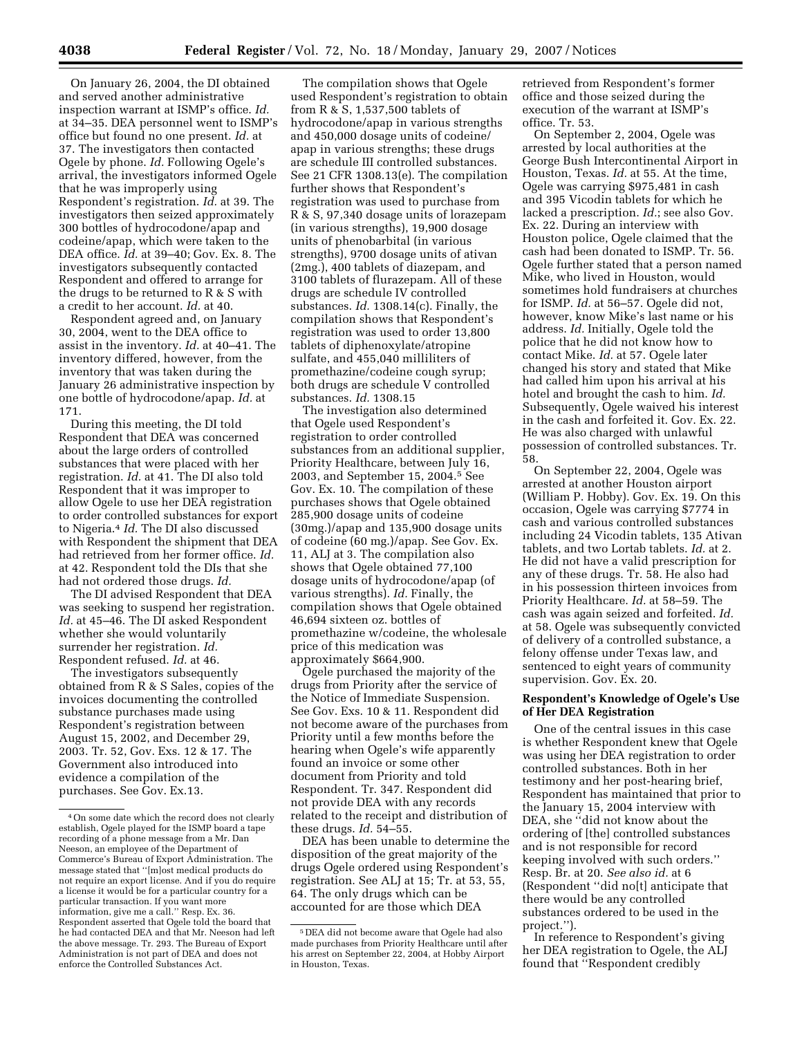On January 26, 2004, the DI obtained and served another administrative inspection warrant at ISMP's office. *Id.*  at 34–35. DEA personnel went to ISMP's office but found no one present. *Id.* at 37. The investigators then contacted Ogele by phone. *Id.* Following Ogele's arrival, the investigators informed Ogele that he was improperly using Respondent's registration. *Id.* at 39. The investigators then seized approximately 300 bottles of hydrocodone/apap and codeine/apap, which were taken to the DEA office. *Id.* at 39–40; Gov. Ex. 8. The investigators subsequently contacted Respondent and offered to arrange for the drugs to be returned to R & S with a credit to her account. *Id.* at 40.

Respondent agreed and, on January 30, 2004, went to the DEA office to assist in the inventory. *Id.* at 40–41. The inventory differed, however, from the inventory that was taken during the January 26 administrative inspection by one bottle of hydrocodone/apap. *Id.* at 171.

During this meeting, the DI told Respondent that DEA was concerned about the large orders of controlled substances that were placed with her registration. *Id.* at 41. The DI also told Respondent that it was improper to allow Ogele to use her DEA registration to order controlled substances for export to Nigeria.4 *Id.* The DI also discussed with Respondent the shipment that DEA had retrieved from her former office. *Id.*  at 42. Respondent told the DIs that she had not ordered those drugs. *Id.* 

The DI advised Respondent that DEA was seeking to suspend her registration. *Id.* at 45–46. The DI asked Respondent whether she would voluntarily surrender her registration. *Id.*  Respondent refused. *Id.* at 46.

The investigators subsequently obtained from R & S Sales, copies of the invoices documenting the controlled substance purchases made using Respondent's registration between August 15, 2002, and December 29, 2003. Tr. 52, Gov. Exs. 12 & 17. The Government also introduced into evidence a compilation of the purchases. See Gov. Ex.13.

The compilation shows that Ogele used Respondent's registration to obtain from R & S, 1,537,500 tablets of hydrocodone/apap in various strengths and 450,000 dosage units of codeine/ apap in various strengths; these drugs are schedule III controlled substances. See 21 CFR 1308.13(e). The compilation further shows that Respondent's registration was used to purchase from R & S, 97,340 dosage units of lorazepam (in various strengths), 19,900 dosage units of phenobarbital (in various strengths), 9700 dosage units of ativan (2mg.), 400 tablets of diazepam, and 3100 tablets of flurazepam. All of these drugs are schedule IV controlled substances. *Id.* 1308.14(c). Finally, the compilation shows that Respondent's registration was used to order 13,800 tablets of diphenoxylate/atropine sulfate, and 455,040 milliliters of promethazine/codeine cough syrup; both drugs are schedule V controlled substances. *Id.* 1308.15

The investigation also determined that Ogele used Respondent's registration to order controlled substances from an additional supplier, Priority Healthcare, between July 16, 2003, and September 15, 2004.5 See Gov. Ex. 10. The compilation of these purchases shows that Ogele obtained 285,900 dosage units of codeine (30mg.)/apap and 135,900 dosage units of codeine (60 mg.)/apap. See Gov. Ex. 11, ALJ at 3. The compilation also shows that Ogele obtained 77,100 dosage units of hydrocodone/apap (of various strengths). *Id.* Finally, the compilation shows that Ogele obtained 46,694 sixteen oz. bottles of promethazine w/codeine, the wholesale price of this medication was approximately \$664,900.

Ogele purchased the majority of the drugs from Priority after the service of the Notice of Immediate Suspension. See Gov. Exs. 10 & 11. Respondent did not become aware of the purchases from Priority until a few months before the hearing when Ogele's wife apparently found an invoice or some other document from Priority and told Respondent. Tr. 347. Respondent did not provide DEA with any records related to the receipt and distribution of these drugs. *Id.* 54–55.

DEA has been unable to determine the disposition of the great majority of the drugs Ogele ordered using Respondent's registration. See ALJ at 15; Tr. at 53, 55, 64. The only drugs which can be accounted for are those which DEA

retrieved from Respondent's former office and those seized during the execution of the warrant at ISMP's office. Tr. 53.

On September 2, 2004, Ogele was arrested by local authorities at the George Bush Intercontinental Airport in Houston, Texas. *Id.* at 55. At the time, Ogele was carrying \$975,481 in cash and 395 Vicodin tablets for which he lacked a prescription. *Id.*; see also Gov. Ex. 22. During an interview with Houston police, Ogele claimed that the cash had been donated to ISMP. Tr. 56. Ogele further stated that a person named Mike, who lived in Houston, would sometimes hold fundraisers at churches for ISMP. *Id.* at 56–57. Ogele did not, however, know Mike's last name or his address. *Id.* Initially, Ogele told the police that he did not know how to contact Mike. *Id.* at 57. Ogele later changed his story and stated that Mike had called him upon his arrival at his hotel and brought the cash to him. *Id.*  Subsequently, Ogele waived his interest in the cash and forfeited it. Gov. Ex. 22. He was also charged with unlawful possession of controlled substances. Tr. 58.

On September 22, 2004, Ogele was arrested at another Houston airport (William P. Hobby). Gov. Ex. 19. On this occasion, Ogele was carrying \$7774 in cash and various controlled substances including 24 Vicodin tablets, 135 Ativan tablets, and two Lortab tablets. *Id.* at 2. He did not have a valid prescription for any of these drugs. Tr. 58. He also had in his possession thirteen invoices from Priority Healthcare. *Id.* at 58–59. The cash was again seized and forfeited. *Id.*  at 58. Ogele was subsequently convicted of delivery of a controlled substance, a felony offense under Texas law, and sentenced to eight years of community supervision. Gov. Ex. 20.

## **Respondent's Knowledge of Ogele's Use of Her DEA Registration**

One of the central issues in this case is whether Respondent knew that Ogele was using her DEA registration to order controlled substances. Both in her testimony and her post-hearing brief, Respondent has maintained that prior to the January 15, 2004 interview with DEA, she ''did not know about the ordering of [the] controlled substances and is not responsible for record keeping involved with such orders.'' Resp. Br. at 20. *See also id.* at 6 (Respondent ''did no[t] anticipate that there would be any controlled substances ordered to be used in the project.'').

In reference to Respondent's giving her DEA registration to Ogele, the ALJ found that ''Respondent credibly

<sup>4</sup>On some date which the record does not clearly establish, Ogele played for the ISMP board a tape recording of a phone message from a Mr. Dan Neeson, an employee of the Department of Commerce's Bureau of Export Administration. The message stated that ''[m]ost medical products do not require an export license. And if you do require a license it would be for a particular country for a particular transaction. If you want more information, give me a call.'' Resp. Ex. 36. Respondent asserted that Ogele told the board that he had contacted DEA and that Mr. Neeson had left the above message. Tr. 293. The Bureau of Export Administration is not part of DEA and does not enforce the Controlled Substances Act.

<sup>5</sup> DEA did not become aware that Ogele had also made purchases from Priority Healthcare until after his arrest on September 22, 2004, at Hobby Airport in Houston, Texas.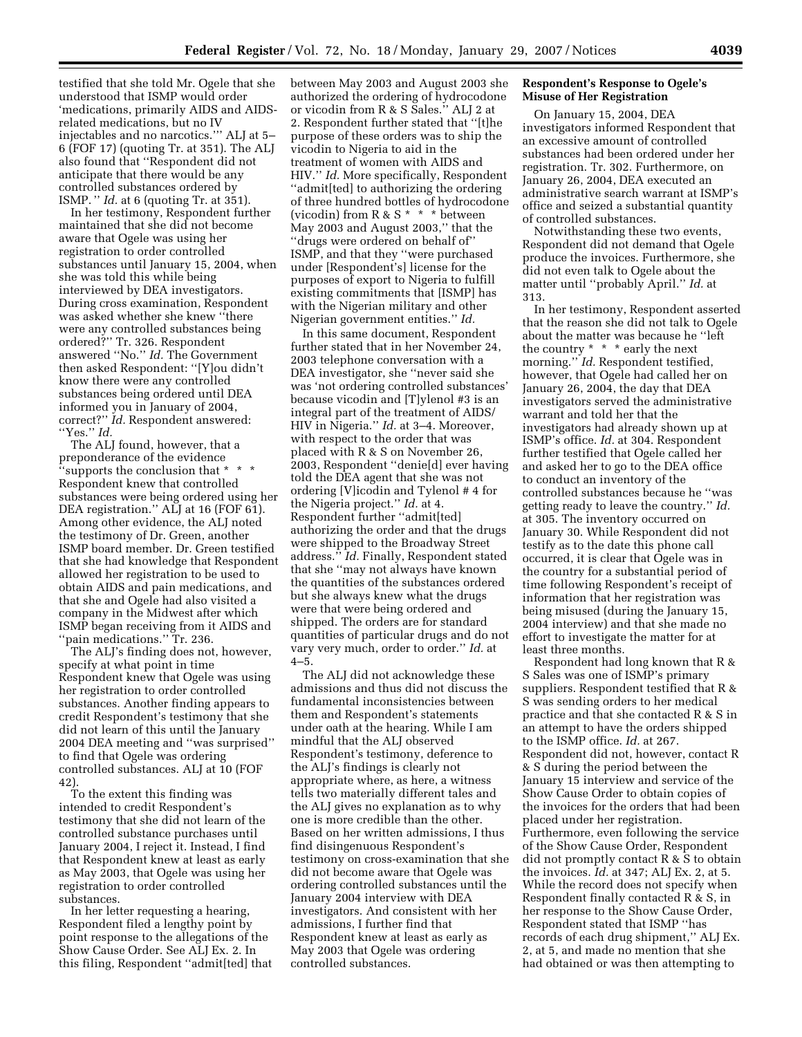testified that she told Mr. Ogele that she understood that ISMP would order 'medications, primarily AIDS and AIDSrelated medications, but no IV injectables and no narcotics.''' ALJ at 5– 6 (FOF 17) (quoting Tr. at 351). The ALJ also found that ''Respondent did not anticipate that there would be any controlled substances ordered by ISMP. '' *Id.* at 6 (quoting Tr. at 351).

In her testimony, Respondent further maintained that she did not become aware that Ogele was using her registration to order controlled substances until January 15, 2004, when she was told this while being interviewed by DEA investigators. During cross examination, Respondent was asked whether she knew ''there were any controlled substances being ordered?'' Tr. 326. Respondent answered ''No.'' *Id.* The Government then asked Respondent: ''[Y]ou didn't know there were any controlled substances being ordered until DEA informed you in January of 2004, correct?'' *Id.* Respondent answered: ''Yes.'' *Id.* 

The ALJ found, however, that a preponderance of the evidence ''supports the conclusion that \* \* \* Respondent knew that controlled substances were being ordered using her DEA registration." ALJ at 16 (FOF 61). Among other evidence, the ALJ noted the testimony of Dr. Green, another ISMP board member. Dr. Green testified that she had knowledge that Respondent allowed her registration to be used to obtain AIDS and pain medications, and that she and Ogele had also visited a company in the Midwest after which ISMP began receiving from it AIDS and ''pain medications.'' Tr. 236.

The ALJ's finding does not, however, specify at what point in time Respondent knew that Ogele was using her registration to order controlled substances. Another finding appears to credit Respondent's testimony that she did not learn of this until the January 2004 DEA meeting and ''was surprised'' to find that Ogele was ordering controlled substances. ALJ at 10 (FOF 42).

To the extent this finding was intended to credit Respondent's testimony that she did not learn of the controlled substance purchases until January 2004, I reject it. Instead, I find that Respondent knew at least as early as May 2003, that Ogele was using her registration to order controlled substances.

In her letter requesting a hearing, Respondent filed a lengthy point by point response to the allegations of the Show Cause Order. See ALJ Ex. 2. In this filing, Respondent ''admit[ted] that between May 2003 and August 2003 she authorized the ordering of hydrocodone or vicodin from R & S Sales.'' ALJ 2 at 2. Respondent further stated that ''[t]he purpose of these orders was to ship the vicodin to Nigeria to aid in the treatment of women with AIDS and HIV.'' *Id.* More specifically, Respondent ''admit[ted] to authorizing the ordering of three hundred bottles of hydrocodone (vicodin) from R & S \* \* \* between May 2003 and August 2003,'' that the ''drugs were ordered on behalf of'' ISMP, and that they ''were purchased under [Respondent's] license for the purposes of export to Nigeria to fulfill existing commitments that [ISMP] has with the Nigerian military and other Nigerian government entities.'' *Id.* 

In this same document, Respondent further stated that in her November 24, 2003 telephone conversation with a DEA investigator, she ''never said she was 'not ordering controlled substances' because vicodin and [T]ylenol #3 is an integral part of the treatment of AIDS/ HIV in Nigeria.'' *Id.* at 3–4. Moreover, with respect to the order that was placed with R & S on November 26, 2003, Respondent ''denie[d] ever having told the DEA agent that she was not ordering [V]icodin and Tylenol # 4 for the Nigeria project.'' *Id.* at 4. Respondent further ''admit[ted] authorizing the order and that the drugs were shipped to the Broadway Street address.'' *Id.* Finally, Respondent stated that she ''may not always have known the quantities of the substances ordered but she always knew what the drugs were that were being ordered and shipped. The orders are for standard quantities of particular drugs and do not vary very much, order to order.'' *Id.* at  $4 - 5$ 

The ALJ did not acknowledge these admissions and thus did not discuss the fundamental inconsistencies between them and Respondent's statements under oath at the hearing. While I am mindful that the ALJ observed Respondent's testimony, deference to the ALJ's findings is clearly not appropriate where, as here, a witness tells two materially different tales and the ALJ gives no explanation as to why one is more credible than the other. Based on her written admissions, I thus find disingenuous Respondent's testimony on cross-examination that she did not become aware that Ogele was ordering controlled substances until the January 2004 interview with DEA investigators. And consistent with her admissions, I further find that Respondent knew at least as early as May 2003 that Ogele was ordering controlled substances.

# **Respondent's Response to Ogele's Misuse of Her Registration**

On January 15, 2004, DEA investigators informed Respondent that an excessive amount of controlled substances had been ordered under her registration. Tr. 302. Furthermore, on January 26, 2004, DEA executed an administrative search warrant at ISMP's office and seized a substantial quantity of controlled substances.

Notwithstanding these two events, Respondent did not demand that Ogele produce the invoices. Furthermore, she did not even talk to Ogele about the matter until ''probably April.'' *Id.* at 313.

In her testimony, Respondent asserted that the reason she did not talk to Ogele about the matter was because he ''left the country \* \* \* early the next morning." *Id.* Respondent testified, however, that Ogele had called her on January 26, 2004, the day that DEA investigators served the administrative warrant and told her that the investigators had already shown up at ISMP's office. *Id.* at 304. Respondent further testified that Ogele called her and asked her to go to the DEA office to conduct an inventory of the controlled substances because he ''was getting ready to leave the country.'' *Id.*  at 305. The inventory occurred on January 30. While Respondent did not testify as to the date this phone call occurred, it is clear that Ogele was in the country for a substantial period of time following Respondent's receipt of information that her registration was being misused (during the January 15, 2004 interview) and that she made no effort to investigate the matter for at least three months.

Respondent had long known that R & S Sales was one of ISMP's primary suppliers. Respondent testified that R & S was sending orders to her medical practice and that she contacted R & S in an attempt to have the orders shipped to the ISMP office. *Id.* at 267. Respondent did not, however, contact R & S during the period between the January 15 interview and service of the Show Cause Order to obtain copies of the invoices for the orders that had been placed under her registration. Furthermore, even following the service of the Show Cause Order, Respondent did not promptly contact R & S to obtain the invoices. *Id.* at 347; ALJ Ex. 2, at 5. While the record does not specify when Respondent finally contacted R & S, in her response to the Show Cause Order, Respondent stated that ISMP ''has records of each drug shipment,'' ALJ Ex. 2, at 5, and made no mention that she had obtained or was then attempting to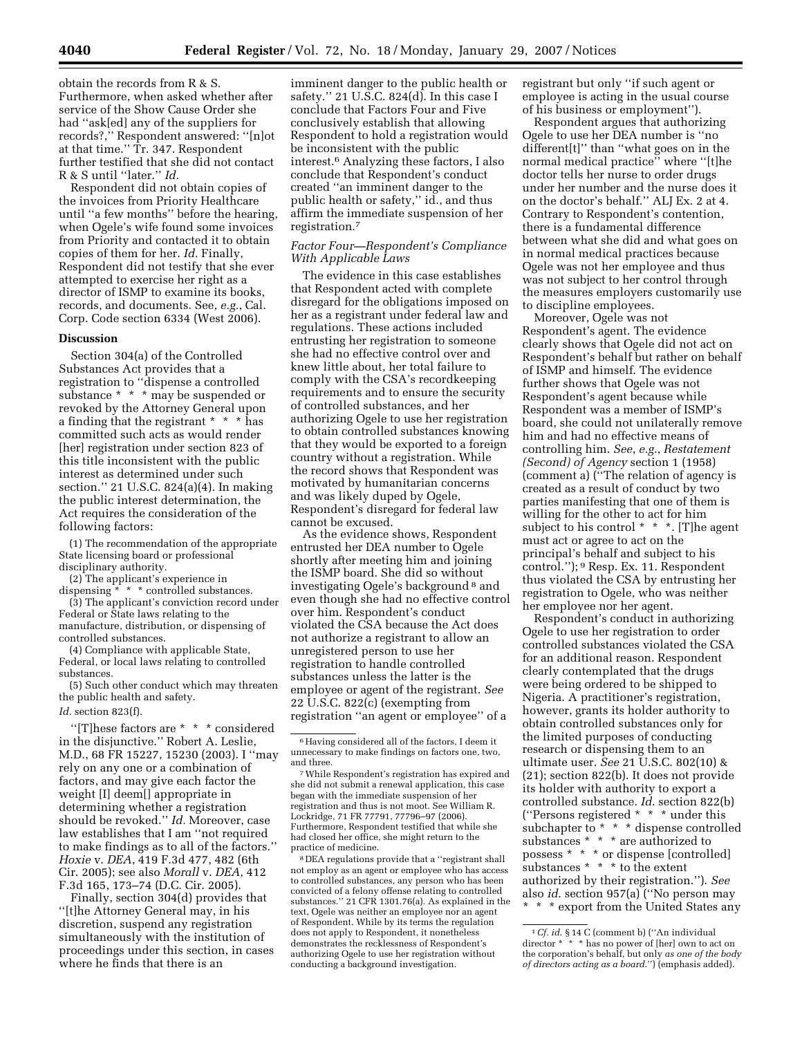obtain the records from R & S. Furthermore, when asked whether after service of the Show Cause Order she had ''ask[ed] any of the suppliers for records?,'' Respondent answered: ''[n]ot at that time.'' Tr. 347. Respondent further testified that she did not contact R & S until ''later.'' *Id.* 

Respondent did not obtain copies of the invoices from Priority Healthcare until ''a few months'' before the hearing, when Ogele's wife found some invoices from Priority and contacted it to obtain copies of them for her. *Id.* Finally, Respondent did not testify that she ever attempted to exercise her right as a director of ISMP to examine its books, records, and documents. See, *e.g.*, Cal. Corp. Code section 6334 (West 2006).

### **Discussion**

Section 304(a) of the Controlled Substances Act provides that a registration to ''dispense a controlled substance \* \* \* may be suspended or revoked by the Attorney General upon a finding that the registrant \* \* \* has committed such acts as would render [her] registration under section 823 of this title inconsistent with the public interest as determined under such section.'' 21 U.S.C. 824(a)(4). In making the public interest determination, the Act requires the consideration of the following factors:

(1) The recommendation of the appropriate State licensing board or professional disciplinary authority.

(2) The applicant's experience in dispensing \* \* \* controlled substances.

(3) The applicant's conviction record under Federal or State laws relating to the manufacture, distribution, or dispensing of controlled substances.

(4) Compliance with applicable State, Federal, or local laws relating to controlled substances.

(5) Such other conduct which may threaten the public health and safety. *Id.* section 823(f).

''[T]hese factors are \* \* \* considered in the disjunctive.'' Robert A. Leslie, M.D., 68 FR 15227, 15230 (2003). I ''may rely on any one or a combination of factors, and may give each factor the weight [I] deem[] appropriate in determining whether a registration should be revoked.'' *Id.* Moreover, case law establishes that I am ''not required to make findings as to all of the factors.'' *Hoxie* v. *DEA*, 419 F.3d 477, 482 (6th Cir. 2005); see also *Morall* v. *DEA*, 412 F.3d 165, 173–74 (D.C. Cir. 2005).

Finally, section 304(d) provides that ''[t]he Attorney General may, in his discretion, suspend any registration simultaneously with the institution of proceedings under this section, in cases where he finds that there is an

imminent danger to the public health or safety.'' 21 U.S.C. 824(d). In this case I conclude that Factors Four and Five conclusively establish that allowing Respondent to hold a registration would be inconsistent with the public interest.6 Analyzing these factors, I also conclude that Respondent's conduct created ''an imminent danger to the public health or safety,'' id., and thus affirm the immediate suspension of her registration.7

### *Factor Four—Respondent's Compliance With Applicable Laws*

The evidence in this case establishes that Respondent acted with complete disregard for the obligations imposed on her as a registrant under federal law and regulations. These actions included entrusting her registration to someone she had no effective control over and knew little about, her total failure to comply with the CSA's recordkeeping requirements and to ensure the security of controlled substances, and her authorizing Ogele to use her registration to obtain controlled substances knowing that they would be exported to a foreign country without a registration. While the record shows that Respondent was motivated by humanitarian concerns and was likely duped by Ogele, Respondent's disregard for federal law cannot be excused.

As the evidence shows, Respondent entrusted her DEA number to Ogele shortly after meeting him and joining the ISMP board. She did so without investigating Ogele's background 8 and even though she had no effective control over him. Respondent's conduct violated the CSA because the Act does not authorize a registrant to allow an unregistered person to use her registration to handle controlled substances unless the latter is the employee or agent of the registrant. *See*  22 U.S.C. 822(c) (exempting from registration ''an agent or employee'' of a

7While Respondent's registration has expired and she did not submit a renewal application, this case began with the immediate suspension of her registration and thus is not moot. See William R. Lockridge, 71 FR 77791, 77796–97 (2006). Furthermore, Respondent testified that while she had closed her office, she might return to the practice of medicine.

8 DEA regulations provide that a ''registrant shall not employ as an agent or employee who has access to controlled substances, any person who has been convicted of a felony offense relating to controlled substances.'' 21 CFR 1301.76(a). As explained in the text, Ogele was neither an employee nor an agent of Respondent. While by its terms the regulation does not apply to Respondent, it nonetheless demonstrates the recklessness of Respondent's authorizing Ogele to use her registration without conducting a background investigation.

registrant but only ''if such agent or employee is acting in the usual course of his business or employment'').

Respondent argues that authorizing Ogele to use her DEA number is ''no different[t]'' than ''what goes on in the normal medical practice'' where ''[t]he doctor tells her nurse to order drugs under her number and the nurse does it on the doctor's behalf.'' ALJ Ex. 2 at 4. Contrary to Respondent's contention, there is a fundamental difference between what she did and what goes on in normal medical practices because Ogele was not her employee and thus was not subject to her control through the measures employers customarily use to discipline employees.

Moreover, Ogele was not Respondent's agent. The evidence clearly shows that Ogele did not act on Respondent's behalf but rather on behalf of ISMP and himself. The evidence further shows that Ogele was not Respondent's agent because while Respondent was a member of ISMP's board, she could not unilaterally remove him and had no effective means of controlling him. *See*, *e.g.*, *Restatement (Second) of Agency* section 1 (1958) (comment a) (''The relation of agency is created as a result of conduct by two parties manifesting that one of them is willing for the other to act for him subject to his control \* \* \*. [T]he agent must act or agree to act on the principal's behalf and subject to his control.''); 9 Resp. Ex. 11. Respondent thus violated the CSA by entrusting her registration to Ogele, who was neither her employee nor her agent.

Respondent's conduct in authorizing Ogele to use her registration to order controlled substances violated the CSA for an additional reason. Respondent clearly contemplated that the drugs were being ordered to be shipped to Nigeria. A practitioner's registration, however, grants its holder authority to obtain controlled substances only for the limited purposes of conducting research or dispensing them to an ultimate user. *See* 21 U.S.C. 802(10) & (21); section 822(b). It does not provide its holder with authority to export a controlled substance. *Id*. section 822(b) (''Persons registered \* \* \* under this subchapter to \* \* \* dispense controlled substances \* \* \* are authorized to possess \* \* \* or dispense [controlled] substances \* \* \* to the extent authorized by their registration.''). *See*  also *id*. section 957(a) (''No person may \* \* \* export from the United States any

 $^{\rm 6}$  Having considered all of the factors, I deem it unnecessary to make findings on factors one, two, and three.

<sup>1</sup>*Cf. id*. § 14 C (comment b) (''An individual director \* \* \* has no power of [her] own to act on the corporation's behalf, but only *as one of the body of directors acting as a board*.'') (emphasis added).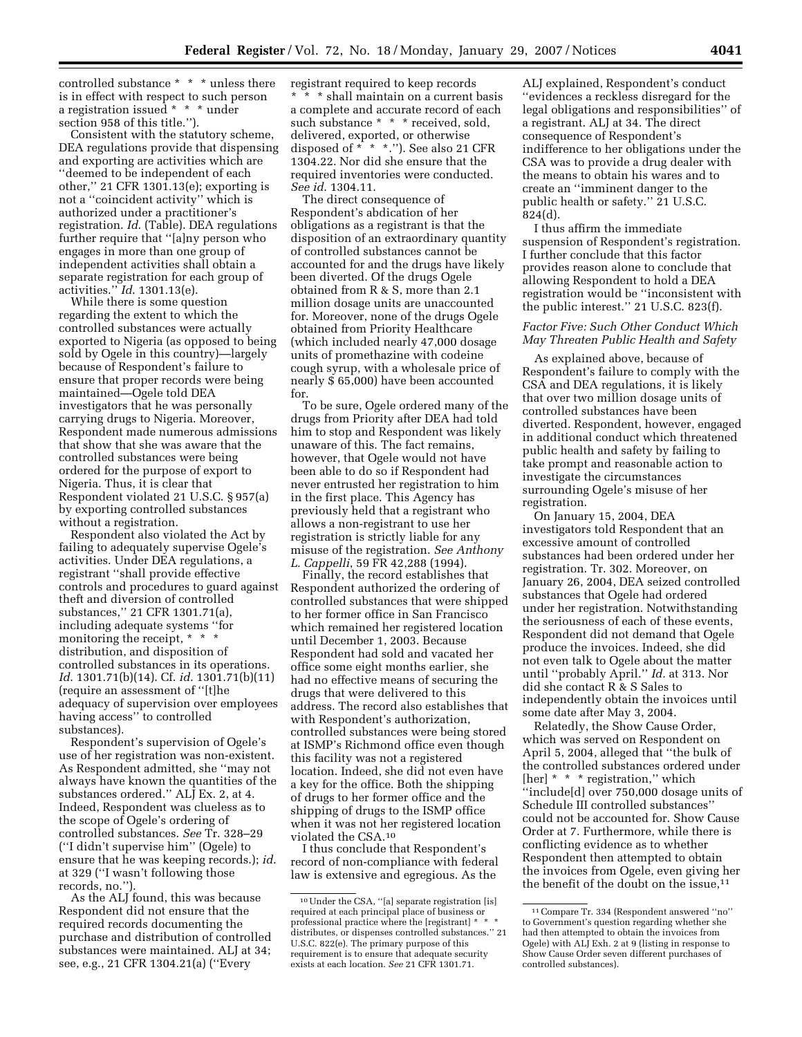controlled substance \* \* \* unless there is in effect with respect to such person a registration issued \* \* \* under section 958 of this title.'').

Consistent with the statutory scheme, DEA regulations provide that dispensing and exporting are activities which are ''deemed to be independent of each other,'' 21 CFR 1301.13(e); exporting is not a ''coincident activity'' which is authorized under a practitioner's registration. *Id*. (Table). DEA regulations further require that ''[a]ny person who engages in more than one group of independent activities shall obtain a separate registration for each group of activities.'' *Id*. 1301.13(e).

While there is some question regarding the extent to which the controlled substances were actually exported to Nigeria (as opposed to being sold by Ogele in this country)—largely because of Respondent's failure to ensure that proper records were being maintained—Ogele told DEA investigators that he was personally carrying drugs to Nigeria. Moreover, Respondent made numerous admissions that show that she was aware that the controlled substances were being ordered for the purpose of export to Nigeria. Thus, it is clear that Respondent violated 21 U.S.C. § 957(a) by exporting controlled substances without a registration.

Respondent also violated the Act by failing to adequately supervise Ogele's activities. Under DEA regulations, a registrant ''shall provide effective controls and procedures to guard against theft and diversion of controlled substances,'' 21 CFR 1301.71(a), including adequate systems ''for monitoring the receipt, \* \* \* distribution, and disposition of controlled substances in its operations. *Id*. 1301.71(b)(14). Cf. *id*. 1301.71(b)(11) (require an assessment of ''[t]he adequacy of supervision over employees having access'' to controlled substances).

Respondent's supervision of Ogele's use of her registration was non-existent. As Respondent admitted, she ''may not always have known the quantities of the substances ordered.'' ALJ Ex. 2, at 4. Indeed, Respondent was clueless as to the scope of Ogele's ordering of controlled substances. *See* Tr. 328–29 (''I didn't supervise him'' (Ogele) to ensure that he was keeping records.); *id*. at 329 (''I wasn't following those records, no.'').

As the ALJ found, this was because Respondent did not ensure that the required records documenting the purchase and distribution of controlled substances were maintained. ALJ at 34; see, e.g., 21 CFR 1304.21(a) (''Every

registrant required to keep records \* \* \* shall maintain on a current basis a complete and accurate record of each such substance \* \* \* received, sold, delivered, exported, or otherwise disposed of \* \* \*.''). See also 21 CFR 1304.22. Nor did she ensure that the required inventories were conducted. *See id*. 1304.11.

The direct consequence of Respondent's abdication of her obligations as a registrant is that the disposition of an extraordinary quantity of controlled substances cannot be accounted for and the drugs have likely been diverted. Of the drugs Ogele obtained from R & S, more than 2.1 million dosage units are unaccounted for. Moreover, none of the drugs Ogele obtained from Priority Healthcare (which included nearly 47,000 dosage units of promethazine with codeine cough syrup, with a wholesale price of nearly \$ 65,000) have been accounted for.

To be sure, Ogele ordered many of the drugs from Priority after DEA had told him to stop and Respondent was likely unaware of this. The fact remains, however, that Ogele would not have been able to do so if Respondent had never entrusted her registration to him in the first place. This Agency has previously held that a registrant who allows a non-registrant to use her registration is strictly liable for any misuse of the registration. *See Anthony L. Cappelli*, 59 FR 42,288 (1994).

Finally, the record establishes that Respondent authorized the ordering of controlled substances that were shipped to her former office in San Francisco which remained her registered location until December 1, 2003. Because Respondent had sold and vacated her office some eight months earlier, she had no effective means of securing the drugs that were delivered to this address. The record also establishes that with Respondent's authorization, controlled substances were being stored at ISMP's Richmond office even though this facility was not a registered location. Indeed, she did not even have a key for the office. Both the shipping of drugs to her former office and the shipping of drugs to the ISMP office when it was not her registered location violated the CSA.10

I thus conclude that Respondent's record of non-compliance with federal law is extensive and egregious. As the

ALJ explained, Respondent's conduct ''evidences a reckless disregard for the legal obligations and responsibilities'' of a registrant. ALJ at 34. The direct consequence of Respondent's indifference to her obligations under the CSA was to provide a drug dealer with the means to obtain his wares and to create an ''imminent danger to the public health or safety." 21 U.S.C. 824(d).

I thus affirm the immediate suspension of Respondent's registration. I further conclude that this factor provides reason alone to conclude that allowing Respondent to hold a DEA registration would be ''inconsistent with the public interest.'' 21 U.S.C. 823(f).

### *Factor Five: Such Other Conduct Which May Threaten Public Health and Safety*

As explained above, because of Respondent's failure to comply with the CSA and DEA regulations, it is likely that over two million dosage units of controlled substances have been diverted. Respondent, however, engaged in additional conduct which threatened public health and safety by failing to take prompt and reasonable action to investigate the circumstances surrounding Ogele's misuse of her registration.

On January 15, 2004, DEA investigators told Respondent that an excessive amount of controlled substances had been ordered under her registration. Tr. 302. Moreover, on January 26, 2004, DEA seized controlled substances that Ogele had ordered under her registration. Notwithstanding the seriousness of each of these events, Respondent did not demand that Ogele produce the invoices. Indeed, she did not even talk to Ogele about the matter until ''probably April.'' *Id.* at 313. Nor did she contact R & S Sales to independently obtain the invoices until some date after May 3, 2004.

Relatedly, the Show Cause Order, which was served on Respondent on April 5, 2004, alleged that ''the bulk of the controlled substances ordered under [her] \* \* \* registration," which ''include[d] over 750,000 dosage units of Schedule III controlled substances'' could not be accounted for. Show Cause Order at 7. Furthermore, while there is conflicting evidence as to whether Respondent then attempted to obtain the invoices from Ogele, even giving her the benefit of the doubt on the issue,<sup>11</sup>

<sup>10</sup>Under the CSA, ''[a] separate registration [is] required at each principal place of business or professional practice where the [registrant] \* \* \* distributes, or dispenses controlled substances.'' 21 U.S.C. 822(e). The primary purpose of this requirement is to ensure that adequate security exists at each location. *See* 21 CFR 1301.71.

<sup>11</sup>Compare Tr. 334 (Respondent answered ''no'' to Government's question regarding whether she had then attempted to obtain the invoices from Ogele) with ALJ Exh. 2 at 9 (listing in response to Show Cause Order seven different purchases of controlled substances).